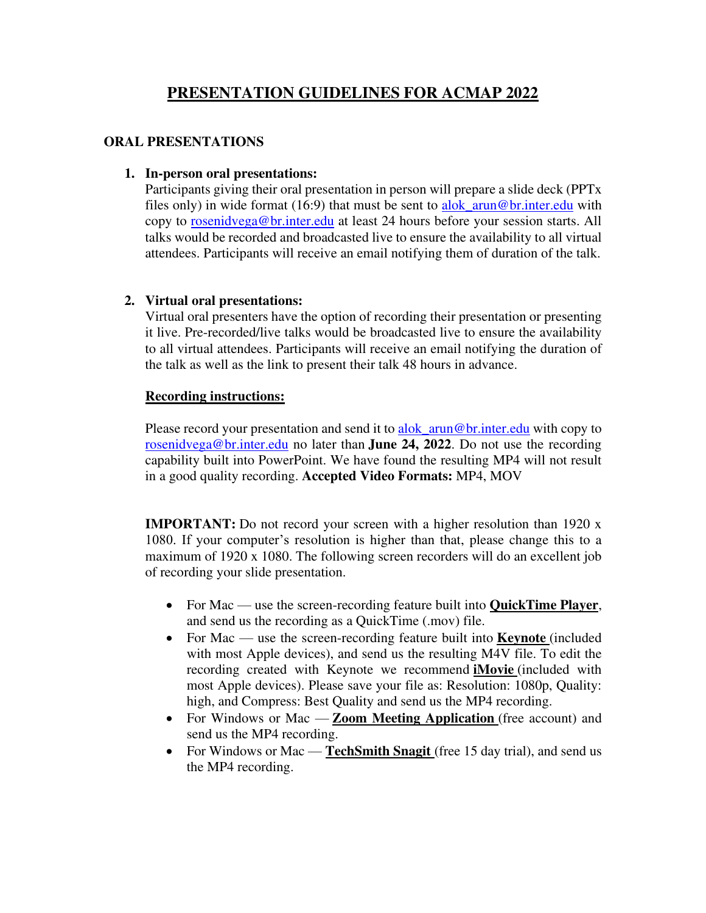# **PRESENTATION GUIDELINES FOR ACMAP 2022**

### **ORAL PRESENTATIONS**

#### **1. In-person oral presentations:**

Participants giving their oral presentation in person will prepare a slide deck (PPTx files only) in wide format (16:9) that must be sent to alok\_arun@br.inter.edu with copy to rosenidvega@br.inter.edu at least 24 hours before your session starts. All talks would be recorded and broadcasted live to ensure the availability to all virtual attendees. Participants will receive an email notifying them of duration of the talk.

### **2. Virtual oral presentations:**

Virtual oral presenters have the option of recording their presentation or presenting it live. Pre-recorded/live talks would be broadcasted live to ensure the availability to all virtual attendees. Participants will receive an email notifying the duration of the talk as well as the link to present their talk 48 hours in advance.

### **Recording instructions:**

Please record your presentation and send it to alok arun@br.inter.edu with copy to rosenidvega@br.inter.edu no later than **June 24, 2022**. Do not use the recording capability built into PowerPoint. We have found the resulting MP4 will not result in a good quality recording. **Accepted Video Formats:** MP4, MOV

**IMPORTANT:** Do not record your screen with a higher resolution than 1920 x 1080. If your computer's resolution is higher than that, please change this to a maximum of 1920 x 1080. The following screen recorders will do an excellent job of recording your slide presentation.

- For Mac use the screen-recording feature built into **QuickTime Player**, and send us the recording as a QuickTime (.mov) file.
- For Mac use the screen-recording feature built into **Keynote** (included with most Apple devices), and send us the resulting M4V file. To edit the recording created with Keynote we recommend **iMovie** (included with most Apple devices). Please save your file as: Resolution: 1080p, Quality: high, and Compress: Best Quality and send us the MP4 recording.
- For Windows or Mac **Zoom Meeting Application** (free account) and send us the MP4 recording.
- For Windows or Mac **TechSmith Snagit** (free 15 day trial), and send us the MP4 recording.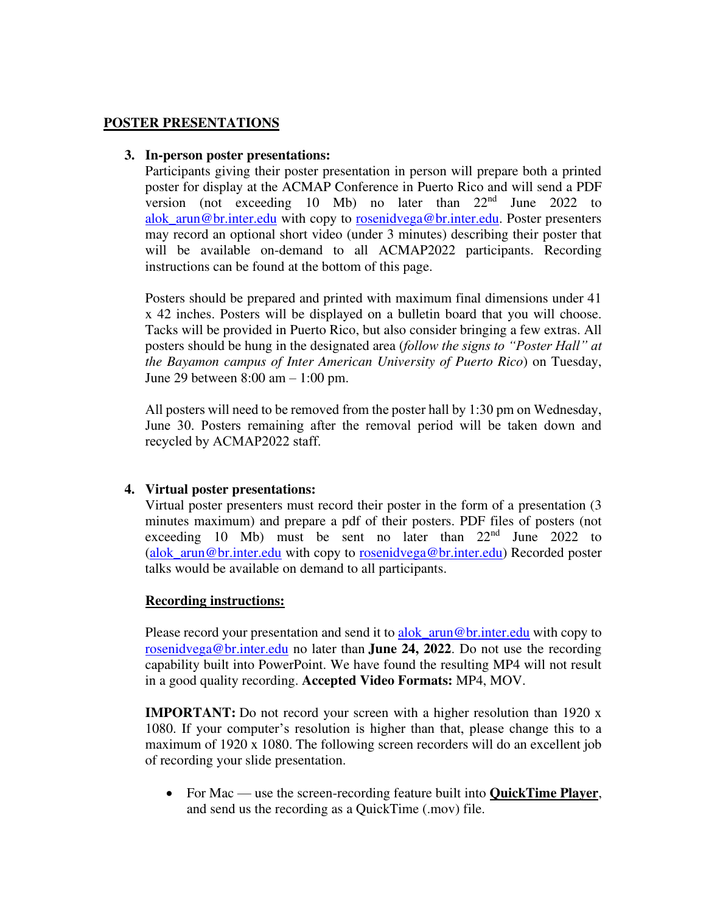### **POSTER PRESENTATIONS**

#### **3. In-person poster presentations:**

Participants giving their poster presentation in person will prepare both a printed poster for display at the ACMAP Conference in Puerto Rico and will send a PDF version (not exceeding 10 Mb) no later than  $22<sup>nd</sup>$  June 2022 to alok arun@br.inter.edu with copy to rosenidvega@br.inter.edu. Poster presenters may record an optional short video (under 3 minutes) describing their poster that will be available on-demand to all ACMAP2022 participants. Recording instructions can be found at the bottom of this page.

Posters should be prepared and printed with maximum final dimensions under 41 x 42 inches. Posters will be displayed on a bulletin board that you will choose. Tacks will be provided in Puerto Rico, but also consider bringing a few extras. All posters should be hung in the designated area (*follow the signs to "Poster Hall" at the Bayamon campus of Inter American University of Puerto Rico*) on Tuesday, June 29 between 8:00 am – 1:00 pm.

All posters will need to be removed from the poster hall by 1:30 pm on Wednesday, June 30. Posters remaining after the removal period will be taken down and recycled by ACMAP2022 staff.

#### **4. Virtual poster presentations:**

Virtual poster presenters must record their poster in the form of a presentation (3 minutes maximum) and prepare a pdf of their posters. PDF files of posters (not exceeding 10 Mb) must be sent no later than  $22<sup>nd</sup>$  June 2022 to (alok arun@br.inter.edu with copy to rosenidvega@br.inter.edu) Recorded poster talks would be available on demand to all participants.

#### **Recording instructions:**

Please record your presentation and send it to alok arun@br.inter.edu with copy to rosenidvega@br.inter.edu no later than **June 24, 2022**. Do not use the recording capability built into PowerPoint. We have found the resulting MP4 will not result in a good quality recording. **Accepted Video Formats:** MP4, MOV.

**IMPORTANT:** Do not record your screen with a higher resolution than 1920 x 1080. If your computer's resolution is higher than that, please change this to a maximum of 1920 x 1080. The following screen recorders will do an excellent job of recording your slide presentation.

• For Mac — use the screen-recording feature built into **QuickTime Player**, and send us the recording as a QuickTime (.mov) file.